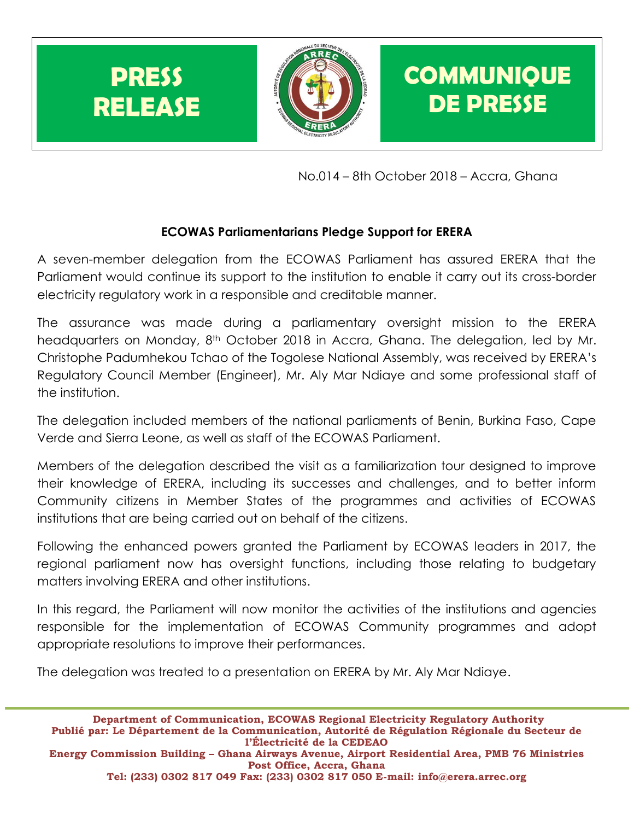

No.014 – 8th October 2018 – Accra, Ghana

## **ECOWAS Parliamentarians Pledge Support for ERERA**

A seven-member delegation from the ECOWAS Parliament has assured ERERA that the Parliament would continue its support to the institution to enable it carry out its cross-border electricity regulatory work in a responsible and creditable manner.

The assurance was made during a parliamentary oversight mission to the ERERA headquarters on Monday, 8<sup>th</sup> October 2018 in Accra, Ghana. The delegation, led by Mr. Christophe Padumhekou Tchao of the Togolese National Assembly, was received by ERERA's Regulatory Council Member (Engineer), Mr. Aly Mar Ndiaye and some professional staff of the institution.

The delegation included members of the national parliaments of Benin, Burkina Faso, Cape Verde and Sierra Leone, as well as staff of the ECOWAS Parliament.

Members of the delegation described the visit as a familiarization tour designed to improve their knowledge of ERERA, including its successes and challenges, and to better inform Community citizens in Member States of the programmes and activities of ECOWAS institutions that are being carried out on behalf of the citizens.

Following the enhanced powers granted the Parliament by ECOWAS leaders in 2017, the regional parliament now has oversight functions, including those relating to budgetary matters involving ERERA and other institutions.

In this regard, the Parliament will now monitor the activities of the institutions and agencies responsible for the implementation of ECOWAS Community programmes and adopt appropriate resolutions to improve their performances.

The delegation was treated to a presentation on ERERA by Mr. Aly Mar Ndiaye.